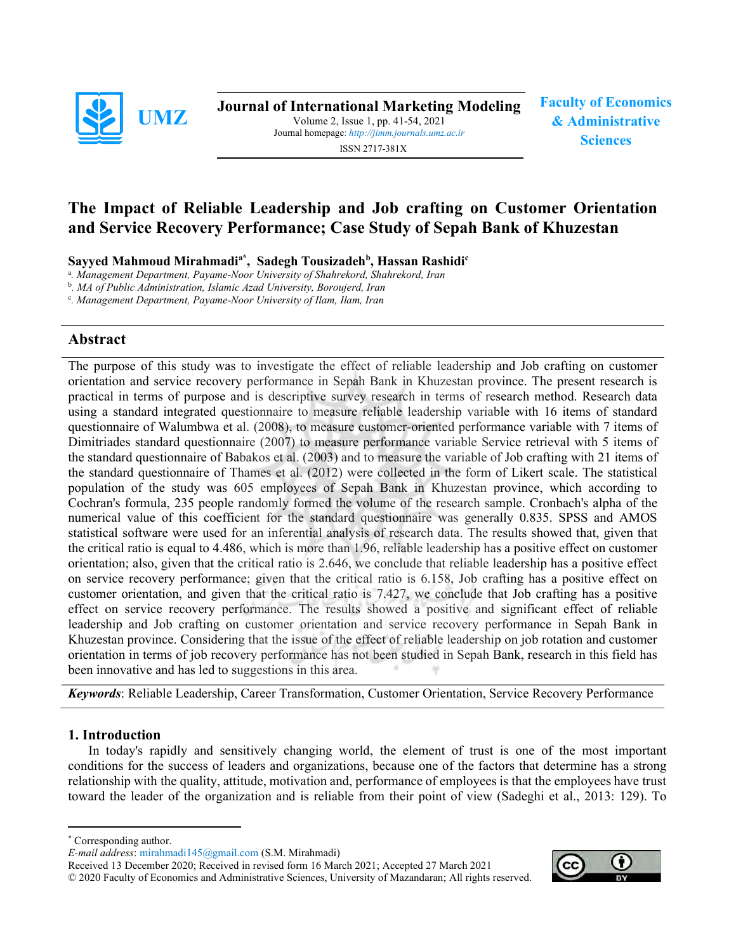

Journal of International Marketing Modeling Volume 2, Issue 1, pp. 41-54, 2021 Journal homepage: http://jimm.journals.umz.ac.ir Sciences<br>ISSN 2717-381X ISSN 2717-381X

Faculty of Economics & Administrative

# The Impact of Reliable Leadership and Job crafting on Customer Orientation and Service Recovery Performance; Case Study of Sepah Bank of Khuzestan

Sayyed Mahmoud Mirahmadi<sup>a\*</sup>, Sadegh Tousizadeh<sup>b</sup>, Hassan Rashidi<sup>c</sup>

<sup>a</sup>. Management Department, Payame-Noor University of Shahrekord, Shahrekord, Iran

<sup>b</sup>. MA of Public Administration, Islamic Azad University, Boroujerd, Iran

c . Management Department, Payame-Noor University of Ilam, Ilam, Iran

# Abstract

The purpose of this study was to investigate the effect of reliable leadership and Job crafting on customer orientation and service recovery performance in Sepah Bank in Khuzestan province. The present research is practical in terms of purpose and is descriptive survey research in terms of research method. Research data using a standard integrated questionnaire to measure reliable leadership variable with 16 items of standard questionnaire of Walumbwa et al. (2008), to measure customer-oriented performance variable with 7 items of Dimitriades standard questionnaire (2007) to measure performance variable Service retrieval with 5 items of the standard questionnaire of Babakos et al. (2003) and to measure the variable of Job crafting with 21 items of the standard questionnaire of Thames et al. (2012) were collected in the form of Likert scale. The statistical population of the study was 605 employees of Sepah Bank in Khuzestan province, which according to Cochran's formula, 235 people randomly formed the volume of the research sample. Cronbach's alpha of the numerical value of this coefficient for the standard questionnaire was generally 0.835. SPSS and AMOS statistical software were used for an inferential analysis of research data. The results showed that, given that the critical ratio is equal to 4.486, which is more than 1.96, reliable leadership has a positive effect on customer orientation; also, given that the critical ratio is 2.646, we conclude that reliable leadership has a positive effect on service recovery performance; given that the critical ratio is 6.158, Job crafting has a positive effect on customer orientation, and given that the critical ratio is 7.427, we conclude that Job crafting has a positive effect on service recovery performance. The results showed a positive and significant effect of reliable leadership and Job crafting on customer orientation and service recovery performance in Sepah Bank in Khuzestan province. Considering that the issue of the effect of reliable leadership on job rotation and customer orientation in terms of job recovery performance has not been studied in Sepah Bank, research in this field has been innovative and has led to suggestions in this area.

Keywords: Reliable Leadership, Career Transformation, Customer Orientation, Service Recovery Performance

#### 1. Introduction

In today's rapidly and sensitively changing world, the element of trust is one of the most important conditions for the success of leaders and organizations, because one of the factors that determine has a strong relationship with the quality, attitude, motivation and, performance of employees is that the employees have trust toward the leader of the organization and is reliable from their point of view (Sadeghi et al., 2013: 129). To

Received 13 December 2020; Received in revised form 16 March 2021; Accepted 27 March 2021 © 2020 Faculty of Economics and Administrative Sciences, University of Mazandaran; All rights reserved.



<sup>\*</sup> Corresponding author.

E-mail address: mirahmadi145@gmail.com (S.M. Mirahmadi)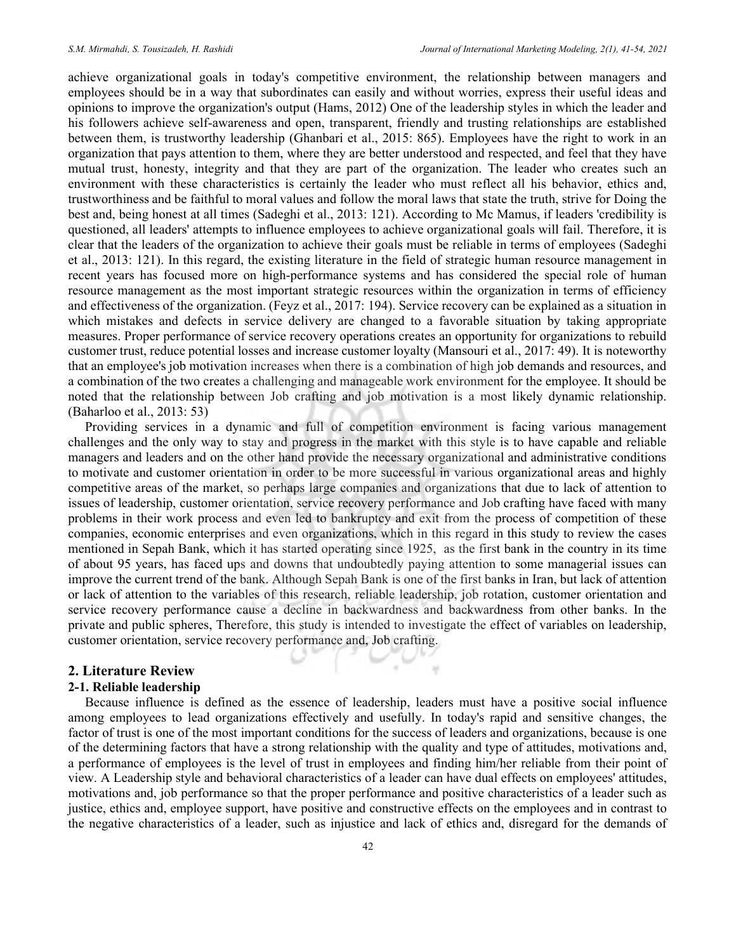achieve organizational goals in today's competitive environment, the relationship between managers and employees should be in a way that subordinates can easily and without worries, express their useful ideas and opinions to improve the organization's output (Hams, 2012) One of the leadership styles in which the leader and his followers achieve self-awareness and open, transparent, friendly and trusting relationships are established between them, is trustworthy leadership (Ghanbari et al., 2015: 865). Employees have the right to work in an organization that pays attention to them, where they are better understood and respected, and feel that they have mutual trust, honesty, integrity and that they are part of the organization. The leader who creates such an environment with these characteristics is certainly the leader who must reflect all his behavior, ethics and, trustworthiness and be faithful to moral values and follow the moral laws that state the truth, strive for Doing the best and, being honest at all times (Sadeghi et al., 2013: 121). According to Mc Mamus, if leaders 'credibility is questioned, all leaders' attempts to influence employees to achieve organizational goals will fail. Therefore, it is clear that the leaders of the organization to achieve their goals must be reliable in terms of employees (Sadeghi et al., 2013: 121). In this regard, the existing literature in the field of strategic human resource management in recent years has focused more on high-performance systems and has considered the special role of human resource management as the most important strategic resources within the organization in terms of efficiency and effectiveness of the organization. (Feyz et al., 2017: 194). Service recovery can be explained as a situation in which mistakes and defects in service delivery are changed to a favorable situation by taking appropriate measures. Proper performance of service recovery operations creates an opportunity for organizations to rebuild customer trust, reduce potential losses and increase customer loyalty (Mansouri et al., 2017: 49). It is noteworthy that an employee's job motivation increases when there is a combination of high job demands and resources, and a combination of the two creates a challenging and manageable work environment for the employee. It should be noted that the relationship between Job crafting and job motivation is a most likely dynamic relationship. (Baharloo et al., 2013: 53)

Providing services in a dynamic and full of competition environment is facing various management challenges and the only way to stay and progress in the market with this style is to have capable and reliable managers and leaders and on the other hand provide the necessary organizational and administrative conditions to motivate and customer orientation in order to be more successful in various organizational areas and highly competitive areas of the market, so perhaps large companies and organizations that due to lack of attention to issues of leadership, customer orientation, service recovery performance and Job crafting have faced with many problems in their work process and even led to bankruptcy and exit from the process of competition of these companies, economic enterprises and even organizations, which in this regard in this study to review the cases mentioned in Sepah Bank, which it has started operating since 1925, as the first bank in the country in its time of about 95 years, has faced ups and downs that undoubtedly paying attention to some managerial issues can improve the current trend of the bank. Although Sepah Bank is one of the first banks in Iran, but lack of attention or lack of attention to the variables of this research, reliable leadership, job rotation, customer orientation and service recovery performance cause a decline in backwardness and backwardness from other banks. In the private and public spheres, Therefore, this study is intended to investigate the effect of variables on leadership, customer orientation, service recovery performance and, Job crafting.

#### 2. Literature Review

#### 2-1. Reliable leadership

Because influence is defined as the essence of leadership, leaders must have a positive social influence among employees to lead organizations effectively and usefully. In today's rapid and sensitive changes, the factor of trust is one of the most important conditions for the success of leaders and organizations, because is one of the determining factors that have a strong relationship with the quality and type of attitudes, motivations and, a performance of employees is the level of trust in employees and finding him/her reliable from their point of view. A Leadership style and behavioral characteristics of a leader can have dual effects on employees' attitudes, motivations and, job performance so that the proper performance and positive characteristics of a leader such as justice, ethics and, employee support, have positive and constructive effects on the employees and in contrast to the negative characteristics of a leader, such as injustice and lack of ethics and, disregard for the demands of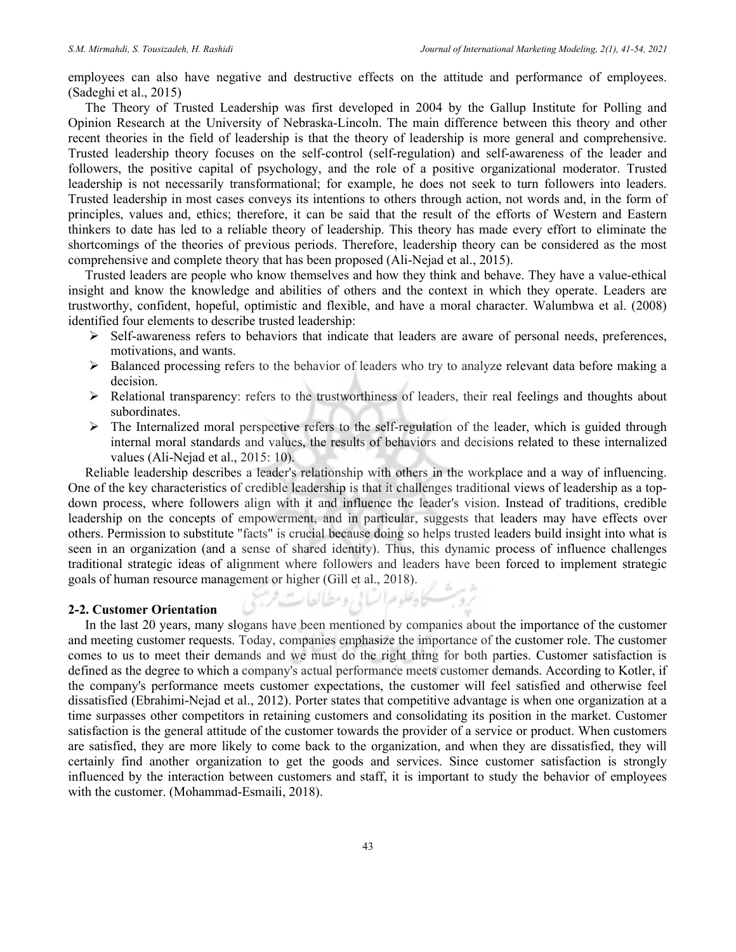employees can also have negative and destructive effects on the attitude and performance of employees. (Sadeghi et al., 2015)

The Theory of Trusted Leadership was first developed in 2004 by the Gallup Institute for Polling and Opinion Research at the University of Nebraska-Lincoln. The main difference between this theory and other recent theories in the field of leadership is that the theory of leadership is more general and comprehensive. Trusted leadership theory focuses on the self-control (self-regulation) and self-awareness of the leader and followers, the positive capital of psychology, and the role of a positive organizational moderator. Trusted leadership is not necessarily transformational; for example, he does not seek to turn followers into leaders. Trusted leadership in most cases conveys its intentions to others through action, not words and, in the form of principles, values and, ethics; therefore, it can be said that the result of the efforts of Western and Eastern thinkers to date has led to a reliable theory of leadership. This theory has made every effort to eliminate the shortcomings of the theories of previous periods. Therefore, leadership theory can be considered as the most comprehensive and complete theory that has been proposed (Ali-Nejad et al., 2015).

Trusted leaders are people who know themselves and how they think and behave. They have a value-ethical insight and know the knowledge and abilities of others and the context in which they operate. Leaders are trustworthy, confident, hopeful, optimistic and flexible, and have a moral character. Walumbwa et al. (2008) identified four elements to describe trusted leadership:

- $\triangleright$  Self-awareness refers to behaviors that indicate that leaders are aware of personal needs, preferences, motivations, and wants.
- $\triangleright$  Balanced processing refers to the behavior of leaders who try to analyze relevant data before making a decision.
- Relational transparency: refers to the trustworthiness of leaders, their real feelings and thoughts about subordinates.
- $\triangleright$  The Internalized moral perspective refers to the self-regulation of the leader, which is guided through internal moral standards and values, the results of behaviors and decisions related to these internalized values (Ali-Nejad et al., 2015: 10).

Reliable leadership describes a leader's relationship with others in the workplace and a way of influencing. One of the key characteristics of credible leadership is that it challenges traditional views of leadership as a topdown process, where followers align with it and influence the leader's vision. Instead of traditions, credible leadership on the concepts of empowerment, and in particular, suggests that leaders may have effects over others. Permission to substitute "facts" is crucial because doing so helps trusted leaders build insight into what is seen in an organization (and a sense of shared identity). Thus, this dynamic process of influence challenges traditional strategic ideas of alignment where followers and leaders have been forced to implement strategic goals of human resource management or higher (Gill et al., 2018).

يحاه علوم السابي ومطالعات فزح

#### 2-2. Customer Orientation

In the last 20 years, many slogans have been mentioned by companies about the importance of the customer and meeting customer requests. Today, companies emphasize the importance of the customer role. The customer comes to us to meet their demands and we must do the right thing for both parties. Customer satisfaction is defined as the degree to which a company's actual performance meets customer demands. According to Kotler, if the company's performance meets customer expectations, the customer will feel satisfied and otherwise feel dissatisfied (Ebrahimi-Nejad et al., 2012). Porter states that competitive advantage is when one organization at a time surpasses other competitors in retaining customers and consolidating its position in the market. Customer satisfaction is the general attitude of the customer towards the provider of a service or product. When customers are satisfied, they are more likely to come back to the organization, and when they are dissatisfied, they will certainly find another organization to get the goods and services. Since customer satisfaction is strongly influenced by the interaction between customers and staff, it is important to study the behavior of employees with the customer. (Mohammad-Esmaili, 2018).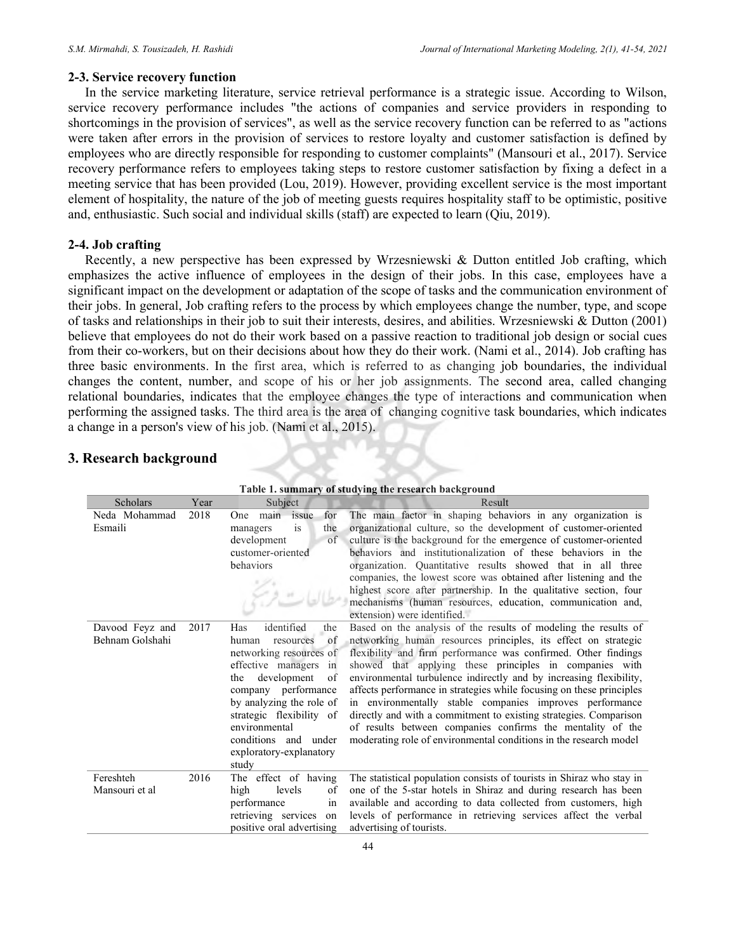#### 2-3. Service recovery function

In the service marketing literature, service retrieval performance is a strategic issue. According to Wilson, service recovery performance includes "the actions of companies and service providers in responding to shortcomings in the provision of services", as well as the service recovery function can be referred to as "actions were taken after errors in the provision of services to restore loyalty and customer satisfaction is defined by employees who are directly responsible for responding to customer complaints" (Mansouri et al., 2017). Service recovery performance refers to employees taking steps to restore customer satisfaction by fixing a defect in a meeting service that has been provided (Lou, 2019). However, providing excellent service is the most important element of hospitality, the nature of the job of meeting guests requires hospitality staff to be optimistic, positive and, enthusiastic. Such social and individual skills (staff) are expected to learn (Qiu, 2019).

#### 2-4. Job crafting

Recently, a new perspective has been expressed by Wrzesniewski & Dutton entitled Job crafting, which emphasizes the active influence of employees in the design of their jobs. In this case, employees have a significant impact on the development or adaptation of the scope of tasks and the communication environment of their jobs. In general, Job crafting refers to the process by which employees change the number, type, and scope of tasks and relationships in their job to suit their interests, desires, and abilities. Wrzesniewski & Dutton (2001) believe that employees do not do their work based on a passive reaction to traditional job design or social cues from their co-workers, but on their decisions about how they do their work. (Nami et al., 2014). Job crafting has three basic environments. In the first area, which is referred to as changing job boundaries, the individual changes the content, number, and scope of his or her job assignments. The second area, called changing relational boundaries, indicates that the employee changes the type of interactions and communication when performing the assigned tasks. The third area is the area of changing cognitive task boundaries, which indicates a change in a person's view of his job. (Nami et al., 2015).

# 3. Research background

| Table 1. summary of studying the research background |      |                                                                                                                                                                                                                                                                                                  |                                                                                                                                                                                                                                                                                                                                                                                                                                                                                                                                                                                                                                                                                  |  |  |  |  |
|------------------------------------------------------|------|--------------------------------------------------------------------------------------------------------------------------------------------------------------------------------------------------------------------------------------------------------------------------------------------------|----------------------------------------------------------------------------------------------------------------------------------------------------------------------------------------------------------------------------------------------------------------------------------------------------------------------------------------------------------------------------------------------------------------------------------------------------------------------------------------------------------------------------------------------------------------------------------------------------------------------------------------------------------------------------------|--|--|--|--|
| Scholars                                             | Year | Subject                                                                                                                                                                                                                                                                                          | Result                                                                                                                                                                                                                                                                                                                                                                                                                                                                                                                                                                                                                                                                           |  |  |  |  |
| Neda Mohammad<br>Esmaili                             | 2018 | main issue<br>for<br>One<br>is<br>the<br>managers<br>development<br>of<br>customer-oriented<br>behaviors                                                                                                                                                                                         | The main factor in shaping behaviors in any organization is<br>organizational culture, so the development of customer-oriented<br>culture is the background for the emergence of customer-oriented<br>behaviors and institutionalization of these behaviors in the<br>organization. Quantitative results showed that in all three<br>companies, the lowest score was obtained after listening and the<br>highest score after partnership. In the qualitative section, four<br>mechanisms (human resources, education, communication and,<br>extension) were identified.                                                                                                          |  |  |  |  |
| Davood Feyz and<br>Behnam Golshahi                   | 2017 | identified<br>Has<br>the<br>resources<br>of<br>human<br>networking resources of<br>effective managers in<br>development<br>the<br>of<br>company performance<br>by analyzing the role of<br>strategic flexibility of<br>environmental<br>conditions and under<br>exploratory-explanatory<br>study | Based on the analysis of the results of modeling the results of<br>networking human resources principles, its effect on strategic<br>flexibility and firm performance was confirmed. Other findings<br>showed that applying these principles in companies with<br>environmental turbulence indirectly and by increasing flexibility,<br>affects performance in strategies while focusing on these principles<br>in environmentally stable companies improves performance<br>directly and with a commitment to existing strategies. Comparison<br>of results between companies confirms the mentality of the<br>moderating role of environmental conditions in the research model |  |  |  |  |
| Fereshteh<br>Mansouri et al                          | 2016 | The effect of having<br>levels<br>high<br>of<br>performance<br>in<br>retrieving services<br>on<br>positive oral advertising                                                                                                                                                                      | The statistical population consists of tourists in Shiraz who stay in<br>one of the 5-star hotels in Shiraz and during research has been<br>available and according to data collected from customers, high<br>levels of performance in retrieving services affect the verbal<br>advertising of tourists.                                                                                                                                                                                                                                                                                                                                                                         |  |  |  |  |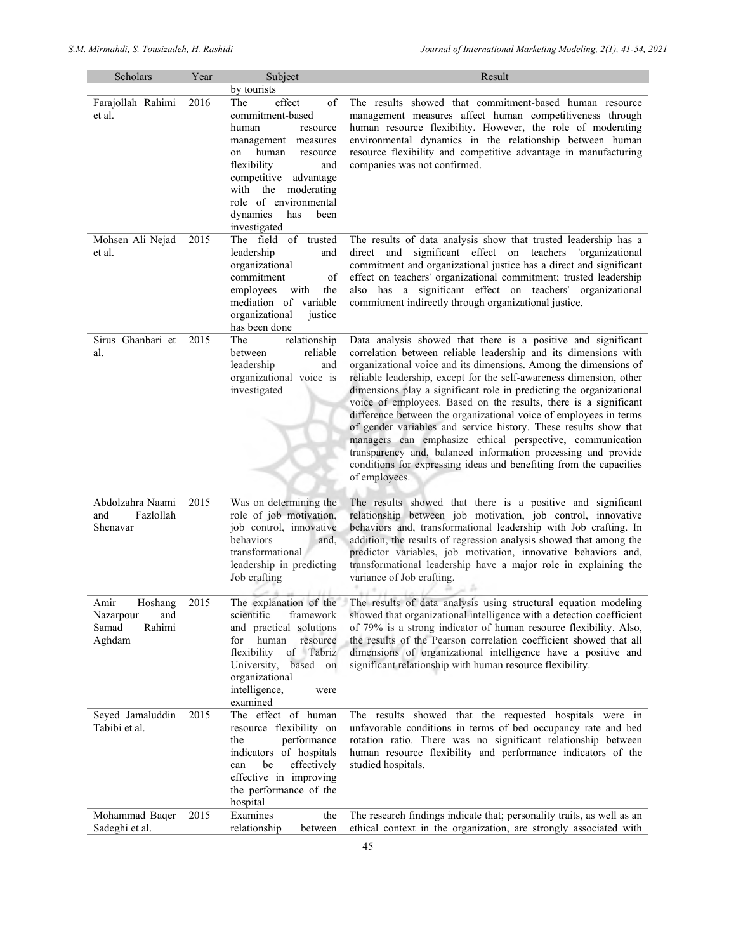| Scholars                                                         | Year | Subject                                                                                                                                                                                                                                                        | Result                                                                                                                                                                                                                                                                                                                                                                                                                                                                                                                                                                                                                                                                                                                                                                               |
|------------------------------------------------------------------|------|----------------------------------------------------------------------------------------------------------------------------------------------------------------------------------------------------------------------------------------------------------------|--------------------------------------------------------------------------------------------------------------------------------------------------------------------------------------------------------------------------------------------------------------------------------------------------------------------------------------------------------------------------------------------------------------------------------------------------------------------------------------------------------------------------------------------------------------------------------------------------------------------------------------------------------------------------------------------------------------------------------------------------------------------------------------|
|                                                                  |      | by tourists                                                                                                                                                                                                                                                    |                                                                                                                                                                                                                                                                                                                                                                                                                                                                                                                                                                                                                                                                                                                                                                                      |
| Farajollah Rahimi<br>et al.                                      | 2016 | effect<br>of<br>The<br>commitment-based<br>human<br>resource<br>management<br>measures<br>human<br>resource<br>on<br>flexibility<br>and<br>competitive<br>advantage<br>with the moderating<br>role of environmental<br>dynamics<br>has<br>been<br>investigated | The results showed that commitment-based human resource<br>management measures affect human competitiveness through<br>human resource flexibility. However, the role of moderating<br>environmental dynamics in the relationship between human<br>resource flexibility and competitive advantage in manufacturing<br>companies was not confirmed.                                                                                                                                                                                                                                                                                                                                                                                                                                    |
| Mohsen Ali Nejad<br>et al.                                       | 2015 | The field of<br>trusted<br>leadership<br>and<br>organizational<br>commitment<br>οf<br>with<br>the<br>employees<br>mediation of variable<br>organizational<br>justice<br>has been done                                                                          | The results of data analysis show that trusted leadership has a<br>direct and significant effect on teachers 'organizational<br>commitment and organizational justice has a direct and significant<br>effect on teachers' organizational commitment; trusted leadership<br>also has a significant effect on teachers' organizational<br>commitment indirectly through organizational justice.                                                                                                                                                                                                                                                                                                                                                                                        |
| Sirus Ghanbari et<br>al.                                         | 2015 | relationship<br>The<br>reliable<br>between<br>leadership<br>and<br>organizational voice is<br>investigated                                                                                                                                                     | Data analysis showed that there is a positive and significant<br>correlation between reliable leadership and its dimensions with<br>organizational voice and its dimensions. Among the dimensions of<br>reliable leadership, except for the self-awareness dimension, other<br>dimensions play a significant role in predicting the organizational<br>voice of employees. Based on the results, there is a significant<br>difference between the organizational voice of employees in terms<br>of gender variables and service history. These results show that<br>managers can emphasize ethical perspective, communication<br>transparency and, balanced information processing and provide<br>conditions for expressing ideas and benefiting from the capacities<br>of employees. |
| Abdolzahra Naami<br>Fazlollah<br>and<br>Shenavar                 | 2015 | Was on determining the<br>role of job motivation,<br>job control, innovative<br>behaviors<br>and,<br>transformational<br>leadership in predicting<br>Job crafting                                                                                              | The results showed that there is a positive and significant<br>relationship between job motivation, job control, innovative<br>behaviors and, transformational leadership with Job crafting. In<br>addition, the results of regression analysis showed that among the<br>predictor variables, job motivation, innovative behaviors and,<br>transformational leadership have a major role in explaining the<br>variance of Job crafting.                                                                                                                                                                                                                                                                                                                                              |
| Amir<br>Hoshang<br>and<br>Nazarpour<br>Rahimi<br>Samad<br>Aghdam | 2015 | The explanation of the<br>scientific<br>framework<br>and practical solutions<br>for<br>human<br>resource<br>of Tabriz<br>flexibility<br>based on<br>University,<br>organizational<br>intelligence,<br>were<br>examined                                         | The results of data analysis using structural equation modeling<br>showed that organizational intelligence with a detection coefficient<br>of 79% is a strong indicator of human resource flexibility. Also,<br>the results of the Pearson correlation coefficient showed that all<br>dimensions of organizational intelligence have a positive and<br>significant relationship with human resource flexibility.                                                                                                                                                                                                                                                                                                                                                                     |
| Seyed Jamaluddin<br>Tabibi et al.                                | 2015 | The effect of human<br>resource flexibility on<br>performance<br>the<br>indicators of hospitals<br>be<br>effectively<br>can<br>effective in improving<br>the performance of the<br>hospital                                                                    | The results showed that the requested hospitals were in<br>unfavorable conditions in terms of bed occupancy rate and bed<br>rotation ratio. There was no significant relationship between<br>human resource flexibility and performance indicators of the<br>studied hospitals.                                                                                                                                                                                                                                                                                                                                                                                                                                                                                                      |
| Mohammad Baqer<br>Sadeghi et al.                                 | 2015 | Examines<br>the<br>relationship<br>between                                                                                                                                                                                                                     | The research findings indicate that; personality traits, as well as an<br>ethical context in the organization, are strongly associated with                                                                                                                                                                                                                                                                                                                                                                                                                                                                                                                                                                                                                                          |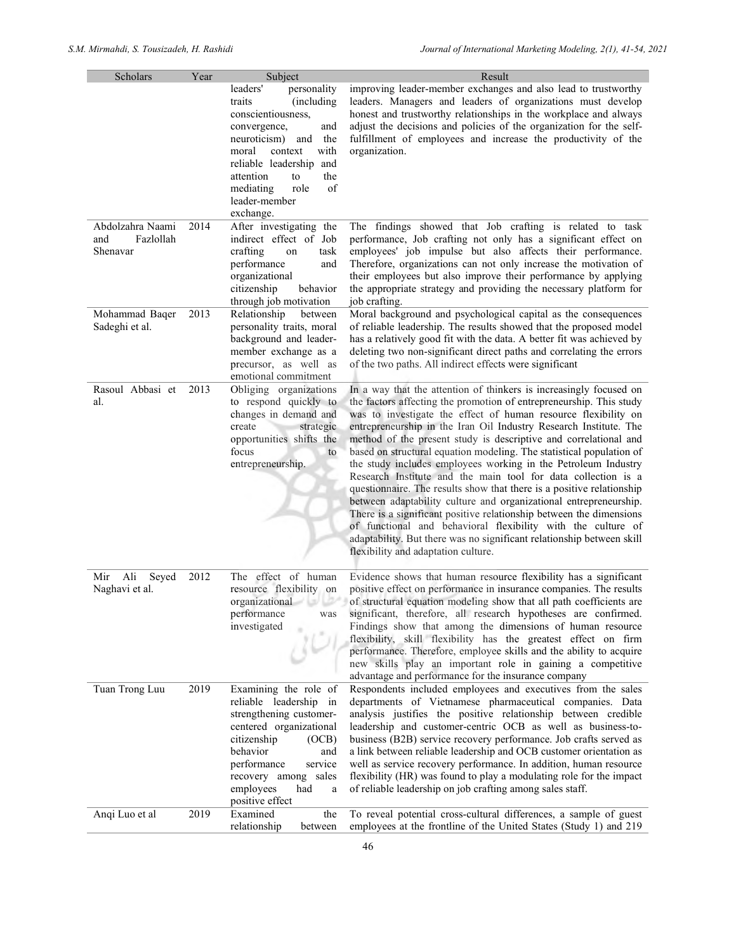| Scholars                              | Year | Subject                                                                                                                                                                                                                                                              | Result                                                                                                                                                                                                                                                                                                                                                                                                                                                                                                                                                                                                                                                                                                                                                                                                                                                                                                                                                               |
|---------------------------------------|------|----------------------------------------------------------------------------------------------------------------------------------------------------------------------------------------------------------------------------------------------------------------------|----------------------------------------------------------------------------------------------------------------------------------------------------------------------------------------------------------------------------------------------------------------------------------------------------------------------------------------------------------------------------------------------------------------------------------------------------------------------------------------------------------------------------------------------------------------------------------------------------------------------------------------------------------------------------------------------------------------------------------------------------------------------------------------------------------------------------------------------------------------------------------------------------------------------------------------------------------------------|
|                                       |      | leaders'<br>personality<br>(including<br>traits<br>conscientiousness,<br>convergence,<br>and<br>neuroticism)<br>the<br>and<br>with<br>context<br>moral<br>reliable leadership and<br>attention<br>the<br>to<br>role<br>of<br>mediating<br>leader-member<br>exchange. | improving leader-member exchanges and also lead to trustworthy<br>leaders. Managers and leaders of organizations must develop<br>honest and trustworthy relationships in the workplace and always<br>adjust the decisions and policies of the organization for the self-<br>fulfillment of employees and increase the productivity of the<br>organization.                                                                                                                                                                                                                                                                                                                                                                                                                                                                                                                                                                                                           |
| Abdolzahra Naami<br>Fazlollah         | 2014 | After investigating the<br>indirect effect of Job                                                                                                                                                                                                                    | The findings showed that Job crafting is related to task                                                                                                                                                                                                                                                                                                                                                                                                                                                                                                                                                                                                                                                                                                                                                                                                                                                                                                             |
| and<br>Shenavar                       |      | crafting<br>task<br>on<br>performance<br>and<br>organizational<br>citizenship<br>behavior<br>through job motivation                                                                                                                                                  | performance, Job crafting not only has a significant effect on<br>employees' job impulse but also affects their performance.<br>Therefore, organizations can not only increase the motivation of<br>their employees but also improve their performance by applying<br>the appropriate strategy and providing the necessary platform for<br>job crafting.                                                                                                                                                                                                                                                                                                                                                                                                                                                                                                                                                                                                             |
| Mohammad Baqer<br>Sadeghi et al.      | 2013 | Relationship<br>between<br>personality traits, moral<br>background and leader-<br>member exchange as a<br>precursor, as well as<br>emotional commitment                                                                                                              | Moral background and psychological capital as the consequences<br>of reliable leadership. The results showed that the proposed model<br>has a relatively good fit with the data. A better fit was achieved by<br>deleting two non-significant direct paths and correlating the errors<br>of the two paths. All indirect effects were significant                                                                                                                                                                                                                                                                                                                                                                                                                                                                                                                                                                                                                     |
| Rasoul Abbasi et<br>al.               | 2013 | Obliging organizations<br>to respond quickly to<br>changes in demand and<br>create<br>strategic<br>opportunities shifts the<br>focus<br>to<br>entrepreneurship.                                                                                                      | In a way that the attention of thinkers is increasingly focused on<br>the factors affecting the promotion of entrepreneurship. This study<br>was to investigate the effect of human resource flexibility on<br>entrepreneurship in the Iran Oil Industry Research Institute. The<br>method of the present study is descriptive and correlational and<br>based on structural equation modeling. The statistical population of<br>the study includes employees working in the Petroleum Industry<br>Research Institute and the main tool for data collection is a<br>questionnaire. The results show that there is a positive relationship<br>between adaptability culture and organizational entrepreneurship.<br>There is a significant positive relationship between the dimensions<br>of functional and behavioral flexibility with the culture of<br>adaptability. But there was no significant relationship between skill<br>flexibility and adaptation culture. |
| Mir<br>Ali<br>Seyed<br>Naghavi et al. | 2012 | The effect of human<br>resource flexibility on<br>organizational and the<br>performance<br>was<br>investigated                                                                                                                                                       | Evidence shows that human resource flexibility has a significant<br>positive effect on performance in insurance companies. The results<br>of structural equation modeling show that all path coefficients are<br>significant, therefore, all research hypotheses are confirmed.<br>Findings show that among the dimensions of human resource<br>flexibility, skill flexibility has the greatest effect on firm<br>performance. Therefore, employee skills and the ability to acquire<br>new skills play an important role in gaining a competitive<br>advantage and performance for the insurance company                                                                                                                                                                                                                                                                                                                                                            |
| Tuan Trong Luu                        | 2019 | Examining the role of<br>reliable leadership in<br>strengthening customer-<br>centered organizational<br>citizenship<br>(OCB)<br>behavior<br>and<br>performance<br>service<br>recovery among<br>sales<br>employees<br>had<br>$\rm{a}$<br>positive effect             | Respondents included employees and executives from the sales<br>departments of Vietnamese pharmaceutical companies. Data<br>analysis justifies the positive relationship between credible<br>leadership and customer-centric OCB as well as business-to-<br>business (B2B) service recovery performance. Job crafts served as<br>a link between reliable leadership and OCB customer orientation as<br>well as service recovery performance. In addition, human resource<br>flexibility (HR) was found to play a modulating role for the impact<br>of reliable leadership on job crafting among sales staff.                                                                                                                                                                                                                                                                                                                                                         |
| Anqi Luo et al                        | 2019 | Examined<br>the<br>relationship<br>between                                                                                                                                                                                                                           | To reveal potential cross-cultural differences, a sample of guest<br>employees at the frontline of the United States (Study 1) and 219                                                                                                                                                                                                                                                                                                                                                                                                                                                                                                                                                                                                                                                                                                                                                                                                                               |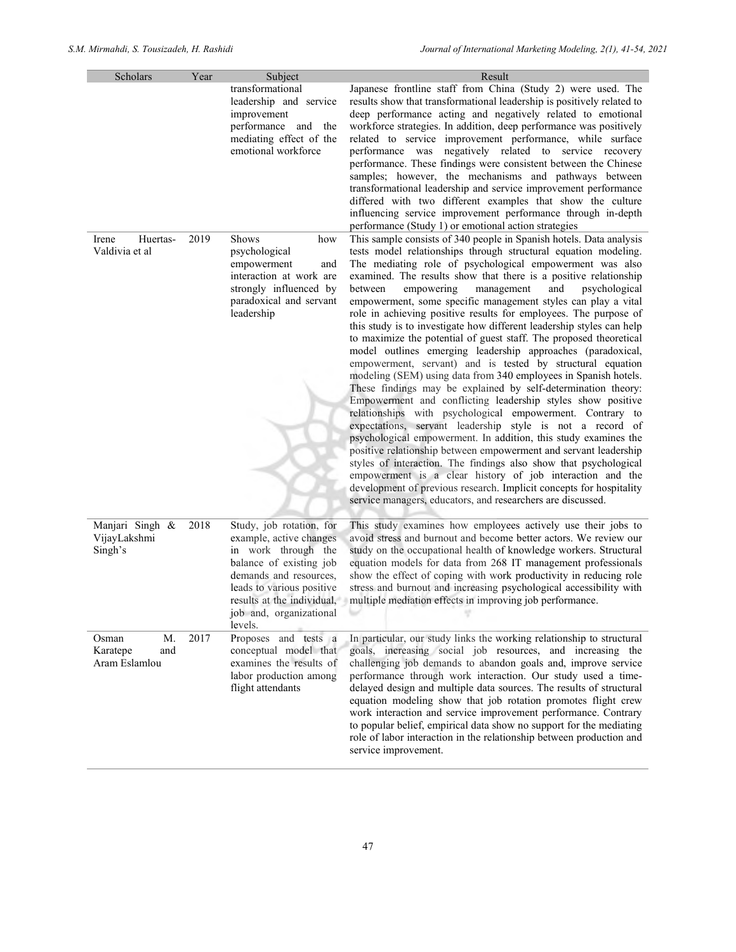| Scholars                                        | Year | Subject                                                                                                                                                                                                                          | Result                                                                                                                                                                                                                                                                                                                                                                                                                                                                                                                                                                                                                                                                                                                                                                                                                                                                                                                                                                                                                                                                                                                                                                                                                                                                                                                                                                                                                                                                                            |
|-------------------------------------------------|------|----------------------------------------------------------------------------------------------------------------------------------------------------------------------------------------------------------------------------------|---------------------------------------------------------------------------------------------------------------------------------------------------------------------------------------------------------------------------------------------------------------------------------------------------------------------------------------------------------------------------------------------------------------------------------------------------------------------------------------------------------------------------------------------------------------------------------------------------------------------------------------------------------------------------------------------------------------------------------------------------------------------------------------------------------------------------------------------------------------------------------------------------------------------------------------------------------------------------------------------------------------------------------------------------------------------------------------------------------------------------------------------------------------------------------------------------------------------------------------------------------------------------------------------------------------------------------------------------------------------------------------------------------------------------------------------------------------------------------------------------|
|                                                 |      | transformational<br>leadership and service<br>improvement<br>performance<br>and the<br>mediating effect of the<br>emotional workforce                                                                                            | Japanese frontline staff from China (Study 2) were used. The<br>results show that transformational leadership is positively related to<br>deep performance acting and negatively related to emotional<br>workforce strategies. In addition, deep performance was positively<br>related to service improvement performance, while surface<br>performance was negatively related to service recovery<br>performance. These findings were consistent between the Chinese<br>samples; however, the mechanisms and pathways between<br>transformational leadership and service improvement performance<br>differed with two different examples that show the culture<br>influencing service improvement performance through in-depth<br>performance (Study 1) or emotional action strategies                                                                                                                                                                                                                                                                                                                                                                                                                                                                                                                                                                                                                                                                                                           |
| Irene<br>Huertas-<br>Valdivia et al             | 2019 | Shows<br>how<br>psychological<br>empowerment<br>and<br>interaction at work are<br>strongly influenced by<br>paradoxical and servant<br>leadership                                                                                | This sample consists of 340 people in Spanish hotels. Data analysis<br>tests model relationships through structural equation modeling.<br>The mediating role of psychological empowerment was also<br>examined. The results show that there is a positive relationship<br>between<br>empowering<br>management<br>and<br>psychological<br>empowerment, some specific management styles can play a vital<br>role in achieving positive results for employees. The purpose of<br>this study is to investigate how different leadership styles can help<br>to maximize the potential of guest staff. The proposed theoretical<br>model outlines emerging leadership approaches (paradoxical,<br>empowerment, servant) and is tested by structural equation<br>modeling (SEM) using data from 340 employees in Spanish hotels.<br>These findings may be explained by self-determination theory:<br>Empowerment and conflicting leadership styles show positive<br>relationships with psychological empowerment. Contrary to<br>expectations, servant leadership style is not a record of<br>psychological empowerment. In addition, this study examines the<br>positive relationship between empowerment and servant leadership<br>styles of interaction. The findings also show that psychological<br>empowerment is a clear history of job interaction and the<br>development of previous research. Implicit concepts for hospitality<br>service managers, educators, and researchers are discussed. |
| Manjari Singh &<br>VijayLakshmi<br>Singh's      | 2018 | Study, job rotation, for<br>example, active changes<br>in work through the<br>balance of existing job<br>demands and resources,<br>leads to various positive<br>results at the individual,<br>job and, organizational<br>levels. | This study examines how employees actively use their jobs to<br>avoid stress and burnout and become better actors. We review our<br>study on the occupational health of knowledge workers. Structural<br>equation models for data from 268 IT management professionals<br>show the effect of coping with work productivity in reducing role<br>stress and burnout and increasing psychological accessibility with<br>multiple mediation effects in improving job performance.<br>v                                                                                                                                                                                                                                                                                                                                                                                                                                                                                                                                                                                                                                                                                                                                                                                                                                                                                                                                                                                                                |
| M.<br>Osman<br>Karatepe<br>and<br>Aram Eslamlou | 2017 | Proposes and tests a<br>conceptual model that<br>examines the results of<br>labor production among<br>flight attendants                                                                                                          | In particular, our study links the working relationship to structural<br>goals, increasing social job resources, and increasing the<br>challenging job demands to abandon goals and, improve service<br>performance through work interaction. Our study used a time-<br>delayed design and multiple data sources. The results of structural<br>equation modeling show that job rotation promotes flight crew<br>work interaction and service improvement performance. Contrary<br>to popular belief, empirical data show no support for the mediating<br>role of labor interaction in the relationship between production and<br>service improvement.                                                                                                                                                                                                                                                                                                                                                                                                                                                                                                                                                                                                                                                                                                                                                                                                                                             |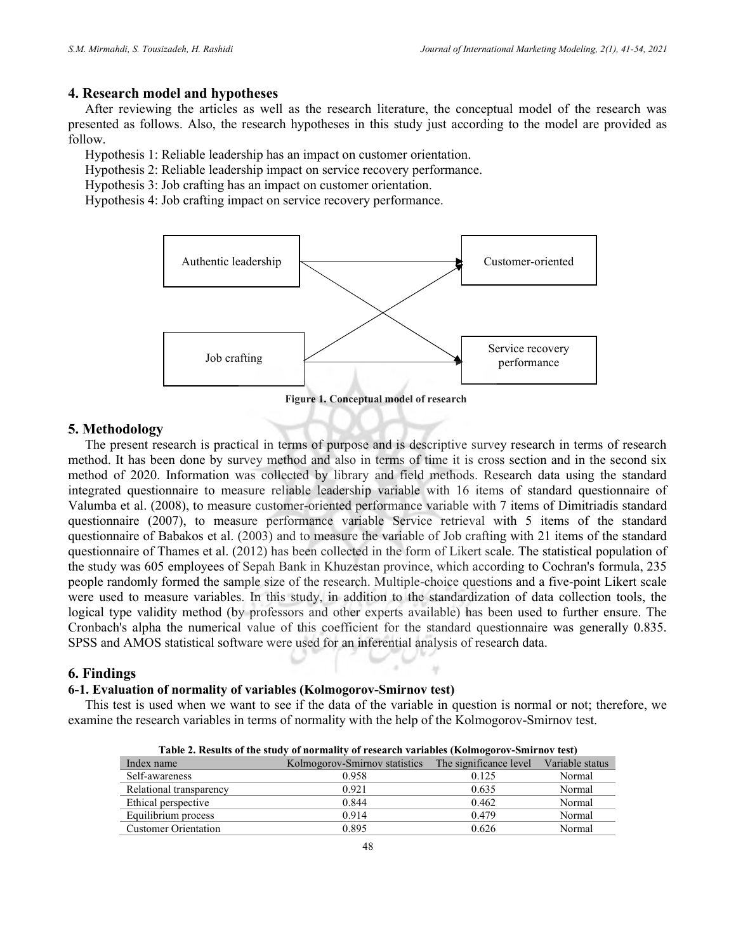# 4. Research model and hypotheses

After reviewing the articles as well as the research literature, the conceptual model of the research was presented as follows. Also, the research hypotheses in this study just according to the model are provided as follow.

Hypothesis 1: Reliable leadership has an impact on customer orientation.

Hypothesis 2: Reliable leadership impact on service recovery performance.

Hypothesis 3: Job crafting has an impact on customer orientation.

Hypothesis 4: Job crafting impact on service recovery performance.



Figure 1. Conceptual model of research

#### 5. Methodology

The present research is practical in terms of purpose and is descriptive survey research in terms of research method. It has been done by survey method and also in terms of time it is cross section and in the second six method of 2020. Information was collected by library and field methods. Research data using the standard integrated questionnaire to measure reliable leadership variable with 16 items of standard questionnaire of Valumba et al. (2008), to measure customer-oriented performance variable with 7 items of Dimitriadis standard questionnaire (2007), to measure performance variable Service retrieval with 5 items of the standard questionnaire of Babakos et al. (2003) and to measure the variable of Job crafting with 21 items of the standard questionnaire of Thames et al. (2012) has been collected in the form of Likert scale. The statistical population of the study was 605 employees of Sepah Bank in Khuzestan province, which according to Cochran's formula, 235 people randomly formed the sample size of the research. Multiple-choice questions and a five-point Likert scale were used to measure variables. In this study, in addition to the standardization of data collection tools, the logical type validity method (by professors and other experts available) has been used to further ensure. The Cronbach's alpha the numerical value of this coefficient for the standard questionnaire was generally 0.835. SPSS and AMOS statistical software were used for an inferential analysis of research data.

# 6. Findings

## 6-1. Evaluation of normality of variables (Kolmogorov-Smirnov test)

This test is used when we want to see if the data of the variable in question is normal or not; therefore, we examine the research variables in terms of normality with the help of the Kolmogorov-Smirnov test.

| Table 2. Results of the study of hormanty of research variables (Rohnogorov-Shifthov test) |                                                                      |       |        |  |  |  |  |  |
|--------------------------------------------------------------------------------------------|----------------------------------------------------------------------|-------|--------|--|--|--|--|--|
| Index name                                                                                 | Kolmogorov-Smirnov statistics The significance level Variable status |       |        |  |  |  |  |  |
| Self-awareness                                                                             | 0.958                                                                | 0.125 | Normal |  |  |  |  |  |
| Relational transparency                                                                    | 0.921                                                                | 0.635 | Normal |  |  |  |  |  |
| Ethical perspective                                                                        | 0.844                                                                | 0.462 | Normal |  |  |  |  |  |
| Equilibrium process                                                                        | 0.914                                                                | 0.479 | Normal |  |  |  |  |  |
| <b>Customer Orientation</b>                                                                | 0.895                                                                | 0.626 | Normal |  |  |  |  |  |

Table 2. Results of the study of normality of research variables (Kolmogorov-Smirnov test)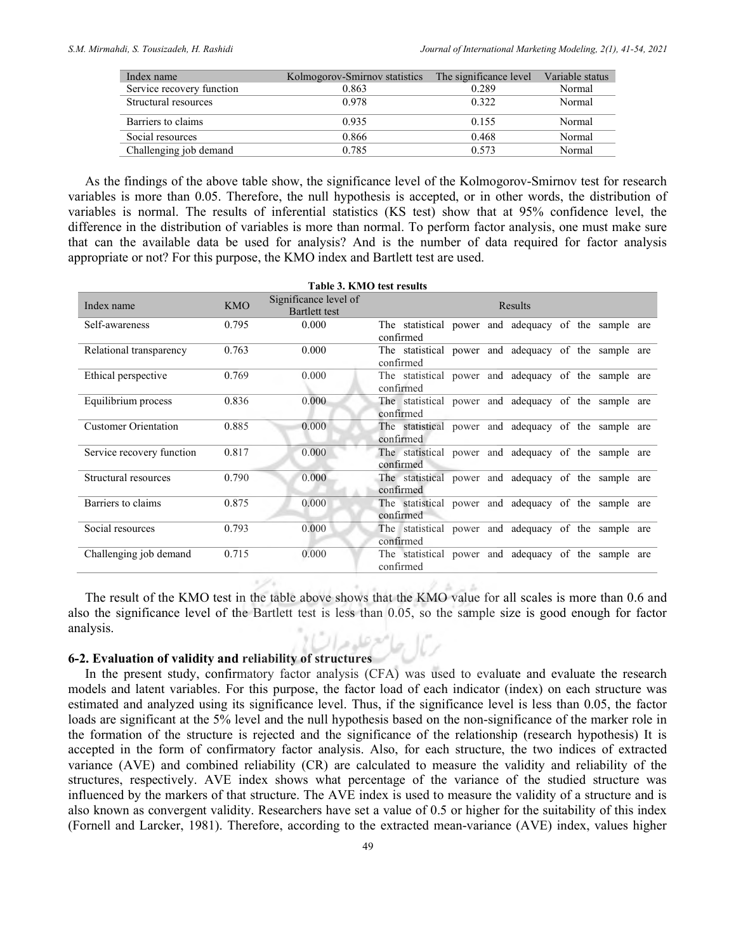|       |       | Variable status                                      |
|-------|-------|------------------------------------------------------|
| 0.863 | 0.289 | Normal                                               |
| 0.978 | 0.322 | Normal                                               |
| 0.935 | 0.155 | Normal                                               |
| 0.866 | 0.468 | Normal                                               |
| 0.785 | 0.573 | Normal                                               |
|       |       | Kolmogorov-Smirnov statistics The significance level |

As the findings of the above table show, the significance level of the Kolmogorov-Smirnov test for research variables is more than 0.05. Therefore, the null hypothesis is accepted, or in other words, the distribution of variables is normal. The results of inferential statistics (KS test) show that at 95% confidence level, the difference in the distribution of variables is more than normal. To perform factor analysis, one must make sure that can the available data be used for analysis? And is the number of data required for factor analysis appropriate or not? For this purpose, the KMO index and Bartlett test are used.

|                             |            | Table 3. KMO test results                     |                                                                   |
|-----------------------------|------------|-----------------------------------------------|-------------------------------------------------------------------|
| Index name                  | <b>KMO</b> | Significance level of<br><b>Bartlett</b> test | Results                                                           |
| Self-awareness              | 0.795      | 0.000                                         | The statistical power and adequacy of the sample are<br>confirmed |
| Relational transparency     | 0.763      | 0.000                                         | The statistical power and adequacy of the sample are<br>confirmed |
| Ethical perspective         | 0.769      | 0.000                                         | The statistical power and adequacy of the sample are<br>confirmed |
| Equilibrium process         | 0.836      | 0.000                                         | The statistical power and adequacy of the sample are<br>confirmed |
| <b>Customer Orientation</b> | 0.885      | 0.000                                         | The statistical power and adequacy of the sample are<br>confirmed |
| Service recovery function   | 0.817      | 0.000                                         | The statistical power and adequacy of the sample are<br>confirmed |
| Structural resources        | 0.790      | 0.000                                         | The statistical power and adequacy of the sample are<br>confirmed |
| Barriers to claims          | 0.875      | 0.000                                         | The statistical power and adequacy of the sample are<br>confirmed |
| Social resources            | 0.793      | 0.000                                         | The statistical power and adequacy of the sample are<br>confirmed |
| Challenging job demand      | 0.715      | 0.000                                         | The statistical power and adequacy of the sample are<br>confirmed |

The result of the KMO test in the table above shows that the KMO value for all scales is more than 0.6 and also the significance level of the Bartlett test is less than 0.05, so the sample size is good enough for factor analysis.

# 6-2. Evaluation of validity and reliability of structures

In the present study, confirmatory factor analysis (CFA) was used to evaluate and evaluate the research models and latent variables. For this purpose, the factor load of each indicator (index) on each structure was estimated and analyzed using its significance level. Thus, if the significance level is less than 0.05, the factor loads are significant at the 5% level and the null hypothesis based on the non-significance of the marker role in the formation of the structure is rejected and the significance of the relationship (research hypothesis) It is accepted in the form of confirmatory factor analysis. Also, for each structure, the two indices of extracted variance (AVE) and combined reliability (CR) are calculated to measure the validity and reliability of the structures, respectively. AVE index shows what percentage of the variance of the studied structure was influenced by the markers of that structure. The AVE index is used to measure the validity of a structure and is also known as convergent validity. Researchers have set a value of 0.5 or higher for the suitability of this index (Fornell and Larcker, 1981). Therefore, according to the extracted mean-variance (AVE) index, values higher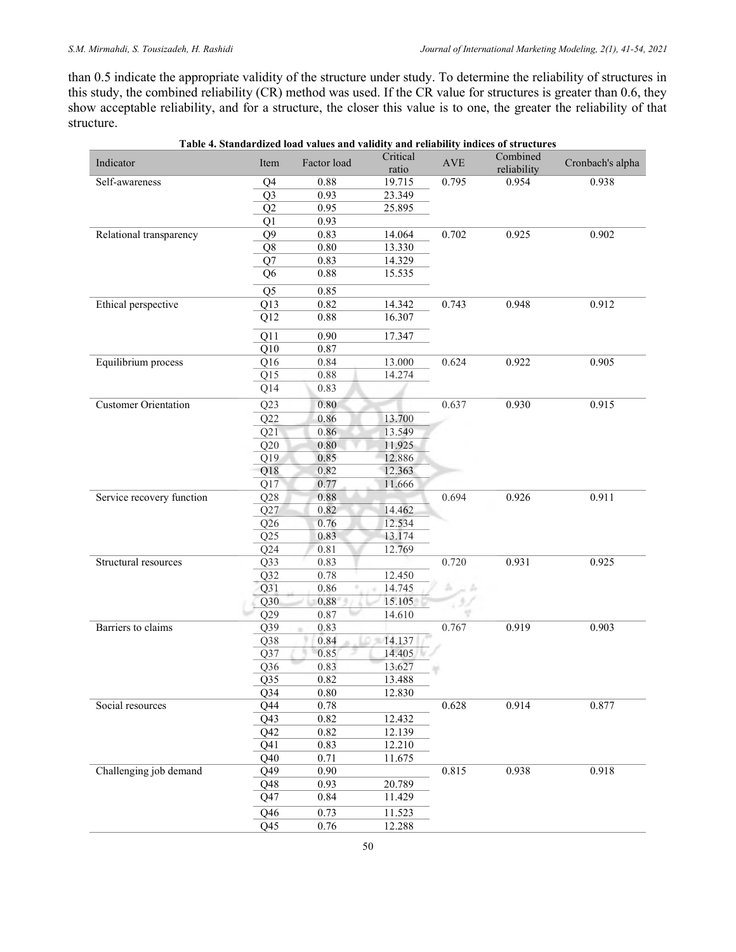than 0.5 indicate the appropriate validity of the structure under study. To determine the reliability of structures in this study, the combined reliability (CR) method was used. If the CR value for structures is greater than 0.6, they show acceptable reliability, and for a structure, the closer this value is to one, the greater the reliability of that structure.

| Indicator                   | Item             | Factor load  | Critical<br>ratio | $\operatorname{AVE}$ | Combined<br>reliability | Cronbach's alpha |
|-----------------------------|------------------|--------------|-------------------|----------------------|-------------------------|------------------|
| Self-awareness              | Q4               | 0.88         | 19.715            | 0.795                | 0.954                   | 0.938            |
|                             | Q <sub>3</sub>   | 0.93         | 23.349            |                      |                         |                  |
|                             | Q2               | 0.95         | 25.895            |                      |                         |                  |
|                             | Q1               | 0.93         |                   |                      |                         |                  |
| Relational transparency     | Q <sub>9</sub>   | 0.83         | 14.064            | 0.702                | 0.925                   | 0.902            |
|                             | Q8               | 0.80         | 13.330            |                      |                         |                  |
|                             | Q7               | 0.83         | 14.329            |                      |                         |                  |
|                             | Q <sub>6</sub>   | 0.88         | 15.535            |                      |                         |                  |
|                             | Q5               | 0.85         |                   |                      |                         |                  |
| Ethical perspective         | Q13              | 0.82         | 14.342            | 0.743                | 0.948                   | 0.912            |
|                             | Q12              | 0.88         | 16.307            |                      |                         |                  |
|                             | Q11              | 0.90         | 17.347            |                      |                         |                  |
|                             | Q10              | 0.87         |                   |                      |                         |                  |
| Equilibrium process         | Q16              | 0.84         | 13.000            | 0.624                | 0.922                   | 0.905            |
|                             | Q15              | 0.88         | 14.274            |                      |                         |                  |
|                             | Q14              | 0.83         |                   |                      |                         |                  |
| <b>Customer Orientation</b> | Q23              | 0.80         |                   | 0.637                | 0.930                   | 0.915            |
|                             | Q22              | 0.86         | 13.700            |                      |                         |                  |
|                             | Q21              | 0.86         | 13.549            |                      |                         |                  |
|                             | Q20              | 0.80         | 11.925            |                      |                         |                  |
|                             | Q19              | 0.85         | 12.886            |                      |                         |                  |
|                             | Q18              | 0.82         | 12.363            |                      |                         |                  |
|                             | Q17              | 0.77         | 11.666            |                      |                         |                  |
| Service recovery function   | Q28              | 0.88         |                   | 0.694                | 0.926                   | 0.911            |
|                             | Q27              | 0.82         | 14.462            |                      |                         |                  |
|                             | Q26              | 0.76         | 12.534            |                      |                         |                  |
|                             | Q25              | 0.83         | 13.174            |                      |                         |                  |
|                             | Q24              | 0.81         | 12.769            |                      |                         |                  |
| Structural resources        | Q <sub>3</sub> 3 | 0.83         |                   | 0.720                | 0.931                   | 0.925            |
|                             | Q32              | 0.78         | 12.450            |                      |                         |                  |
|                             | Q31              | 0.86         | 14.745            | ă.<br>si in          |                         |                  |
|                             | Q30              | 0.88         | 15.105            | 735                  |                         |                  |
|                             | Q29              | 0.87         | 14.610            |                      |                         |                  |
| Barriers to claims          | Q39              | 0.83         |                   | 0.767                | 0.919                   | 0.903            |
|                             | Q38              | 0.84         | 14.137            |                      |                         |                  |
|                             | Q37              | 0.85         | 14.405            |                      |                         |                  |
|                             | Q <sub>36</sub>  | 0.83         | 13.627            |                      |                         |                  |
|                             | Q35              | 0.82         | 13.488            |                      |                         |                  |
|                             | Q34              | 0.80         | 12.830            |                      |                         |                  |
| Social resources            | Q44              | 0.78         |                   | 0.628                | 0.914                   | 0.877            |
|                             | Q43              | 0.82         | 12.432            |                      |                         |                  |
|                             | Q42              | 0.82         | 12.139            |                      |                         |                  |
|                             | Q41              | 0.83         | 12.210            |                      |                         |                  |
| Challenging job demand      | Q40              | 0.71         | 11.675            | 0.815                | 0.938                   | 0.918            |
|                             | Q49<br>Q48       | 0.90<br>0.93 | 20.789            |                      |                         |                  |
|                             |                  | 0.84         | 11.429            |                      |                         |                  |
|                             | Q47              |              |                   |                      |                         |                  |
|                             | Q46              | 0.73         | 11.523            |                      |                         |                  |
|                             | Q <sub>45</sub>  | $0.76\,$     | 12.288            |                      |                         |                  |

| Table 4. Standardized load values and validity and reliability indices of structures |  |  |
|--------------------------------------------------------------------------------------|--|--|
|                                                                                      |  |  |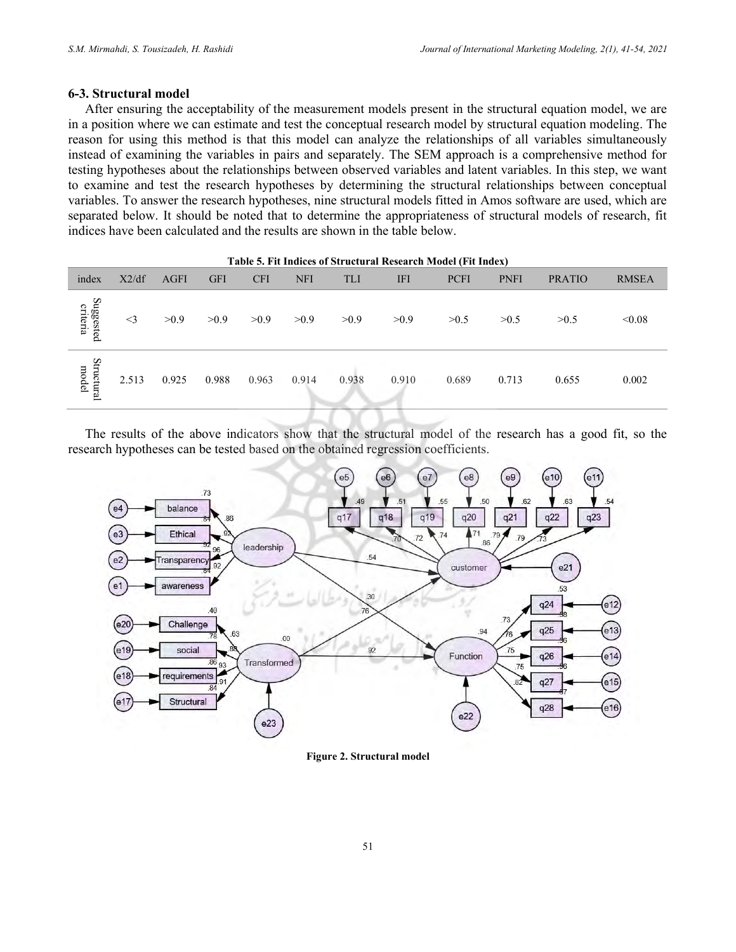#### 6-3. Structural model

After ensuring the acceptability of the measurement models present in the structural equation model, we are in a position where we can estimate and test the conceptual research model by structural equation modeling. The reason for using this method is that this model can analyze the relationships of all variables simultaneously instead of examining the variables in pairs and separately. The SEM approach is a comprehensive method for testing hypotheses about the relationships between observed variables and latent variables. In this step, we want to examine and test the research hypotheses by determining the structural relationships between conceptual variables. To answer the research hypotheses, nine structural models fitted in Amos software are used, which are separated below. It should be noted that to determine the appropriateness of structural models of research, fit indices have been calculated and the results are shown in the table below.

|                       |          |             |            |            |            |       |            | Table 5. Fit Indices of Structural Research Model (Fit Index) |             |               |              |
|-----------------------|----------|-------------|------------|------------|------------|-------|------------|---------------------------------------------------------------|-------------|---------------|--------------|
| index                 | X2/df    | <b>AGFI</b> | <b>GFI</b> | <b>CFI</b> | <b>NFI</b> | TLI   | <b>IFI</b> | <b>PCFI</b>                                                   | <b>PNFI</b> | <b>PRATIO</b> | <b>RMSEA</b> |
| Suggested<br>criteria | $\leq$ 3 | >0.9        | >0.9       | >0.9       | >0.9       | >0.9  | >0.9       | >0.5                                                          | >0.5        | >0.5          | < 0.08       |
| Structural<br>model   | 2.513    | 0.925       | 0.988      | 0.963      | 0.914      | 0.938 | 0.910      | 0.689                                                         | 0.713       | 0.655         | 0.002        |

The results of the above indicators show that the structural model of the research has a good fit, so the research hypotheses can be tested based on the obtained regression coefficients.



Figure 2. Structural model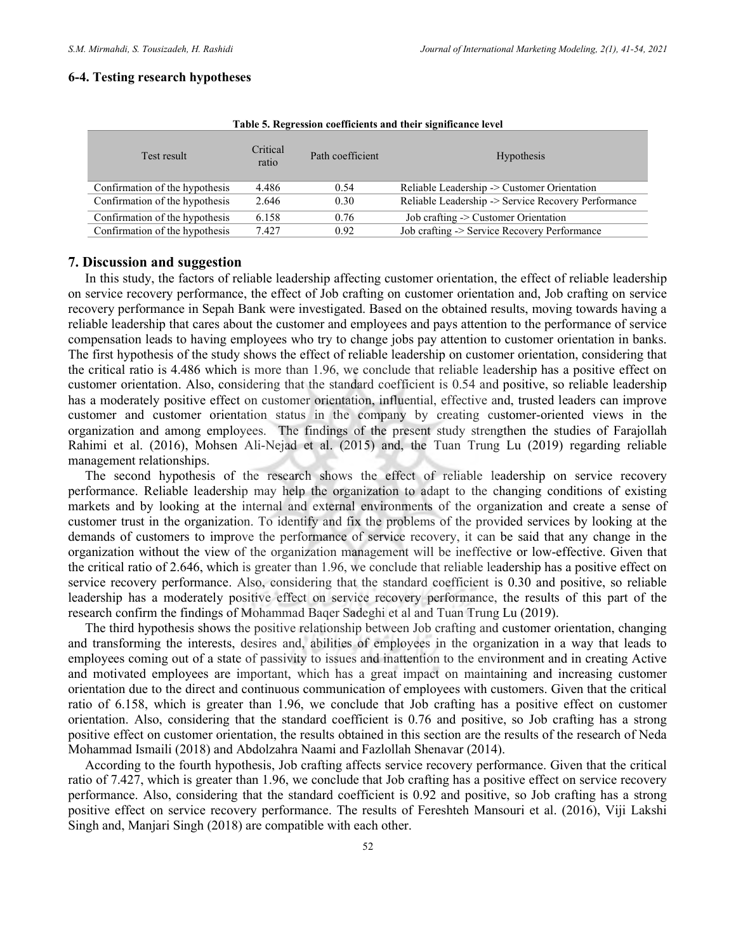#### 6-4. Testing research hypotheses

| Test result                    | Critical<br>ratio | Path coefficient | <b>Hypothesis</b>                                   |
|--------------------------------|-------------------|------------------|-----------------------------------------------------|
| Confirmation of the hypothesis | 4.486             | 0.54             | Reliable Leadership -> Customer Orientation         |
| Confirmation of the hypothesis | 2.646             | 0.30             | Reliable Leadership -> Service Recovery Performance |
| Confirmation of the hypothesis | 6.158             | 0.76             | Job crafting $\geq$ Customer Orientation            |
| Confirmation of the hypothesis | 7.427             | 0.92             | Job crafting -> Service Recovery Performance        |

#### Table 5. Regression coefficients and their significance level

## 7. Discussion and suggestion

In this study, the factors of reliable leadership affecting customer orientation, the effect of reliable leadership on service recovery performance, the effect of Job crafting on customer orientation and, Job crafting on service recovery performance in Sepah Bank were investigated. Based on the obtained results, moving towards having a reliable leadership that cares about the customer and employees and pays attention to the performance of service compensation leads to having employees who try to change jobs pay attention to customer orientation in banks. The first hypothesis of the study shows the effect of reliable leadership on customer orientation, considering that the critical ratio is 4.486 which is more than 1.96, we conclude that reliable leadership has a positive effect on customer orientation. Also, considering that the standard coefficient is 0.54 and positive, so reliable leadership has a moderately positive effect on customer orientation, influential, effective and, trusted leaders can improve customer and customer orientation status in the company by creating customer-oriented views in the organization and among employees. The findings of the present study strengthen the studies of Farajollah Rahimi et al. (2016), Mohsen Ali-Nejad et al. (2015) and, the Tuan Trung Lu (2019) regarding reliable management relationships.

The second hypothesis of the research shows the effect of reliable leadership on service recovery performance. Reliable leadership may help the organization to adapt to the changing conditions of existing markets and by looking at the internal and external environments of the organization and create a sense of customer trust in the organization. To identify and fix the problems of the provided services by looking at the demands of customers to improve the performance of service recovery, it can be said that any change in the organization without the view of the organization management will be ineffective or low-effective. Given that the critical ratio of 2.646, which is greater than 1.96, we conclude that reliable leadership has a positive effect on service recovery performance. Also, considering that the standard coefficient is 0.30 and positive, so reliable leadership has a moderately positive effect on service recovery performance, the results of this part of the research confirm the findings of Mohammad Baqer Sadeghi et al and Tuan Trung Lu (2019).

The third hypothesis shows the positive relationship between Job crafting and customer orientation, changing and transforming the interests, desires and, abilities of employees in the organization in a way that leads to employees coming out of a state of passivity to issues and inattention to the environment and in creating Active and motivated employees are important, which has a great impact on maintaining and increasing customer orientation due to the direct and continuous communication of employees with customers. Given that the critical ratio of 6.158, which is greater than 1.96, we conclude that Job crafting has a positive effect on customer orientation. Also, considering that the standard coefficient is 0.76 and positive, so Job crafting has a strong positive effect on customer orientation, the results obtained in this section are the results of the research of Neda Mohammad Ismaili (2018) and Abdolzahra Naami and Fazlollah Shenavar (2014).

According to the fourth hypothesis, Job crafting affects service recovery performance. Given that the critical ratio of 7.427, which is greater than 1.96, we conclude that Job crafting has a positive effect on service recovery performance. Also, considering that the standard coefficient is 0.92 and positive, so Job crafting has a strong positive effect on service recovery performance. The results of Fereshteh Mansouri et al. (2016), Viji Lakshi Singh and, Manjari Singh (2018) are compatible with each other.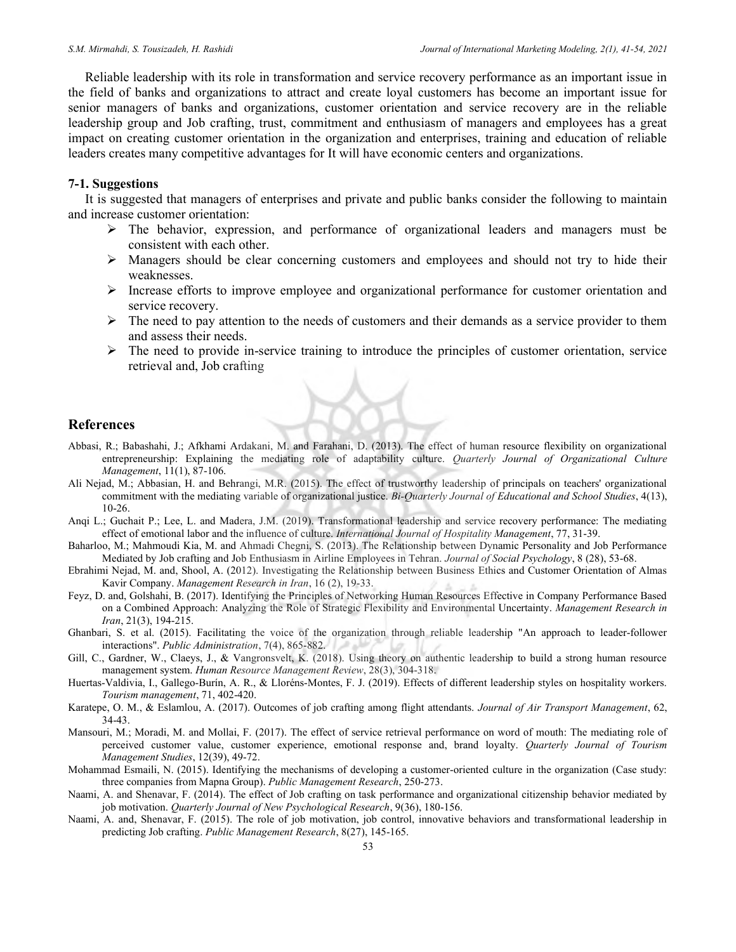Reliable leadership with its role in transformation and service recovery performance as an important issue in the field of banks and organizations to attract and create loyal customers has become an important issue for senior managers of banks and organizations, customer orientation and service recovery are in the reliable leadership group and Job crafting, trust, commitment and enthusiasm of managers and employees has a great impact on creating customer orientation in the organization and enterprises, training and education of reliable leaders creates many competitive advantages for It will have economic centers and organizations.

#### 7-1. Suggestions

It is suggested that managers of enterprises and private and public banks consider the following to maintain and increase customer orientation:

- $\triangleright$  The behavior, expression, and performance of organizational leaders and managers must be consistent with each other.
- $\triangleright$  Managers should be clear concerning customers and employees and should not try to hide their weaknesses.
- Increase efforts to improve employee and organizational performance for customer orientation and service recovery.
- $\triangleright$  The need to pay attention to the needs of customers and their demands as a service provider to them and assess their needs.
- $\triangleright$  The need to provide in-service training to introduce the principles of customer orientation, service retrieval and, Job crafting

#### **References**

- Abbasi, R.; Babashahi, J.; Afkhami Ardakani, M. and Farahani, D. (2013). The effect of human resource flexibility on organizational entrepreneurship: Explaining the mediating role of adaptability culture. Quarterly Journal of Organizational Culture Management, 11(1), 87-106.
- Ali Nejad, M.; Abbasian, H. and Behrangi, M.R. (2015). The effect of trustworthy leadership of principals on teachers' organizational commitment with the mediating variable of organizational justice. Bi-Quarterly Journal of Educational and School Studies, 4(13), 10-26.
- Anqi L.; Guchait P.; Lee, L. and Madera, J.M. (2019). Transformational leadership and service recovery performance: The mediating effect of emotional labor and the influence of culture. International Journal of Hospitality Management, 77, 31-39.
- Baharloo, M.; Mahmoudi Kia, M. and Ahmadi Chegni, S. (2013). The Relationship between Dynamic Personality and Job Performance Mediated by Job crafting and Job Enthusiasm in Airline Employees in Tehran. Journal of Social Psychology, 8 (28), 53-68.
- Ebrahimi Nejad, M. and, Shool, A. (2012). Investigating the Relationship between Business Ethics and Customer Orientation of Almas Kavir Company. Management Research in Iran, 16 (2), 19-33.
- Feyz, D. and, Golshahi, B. (2017). Identifying the Principles of Networking Human Resources Effective in Company Performance Based on a Combined Approach: Analyzing the Role of Strategic Flexibility and Environmental Uncertainty. Management Research in Iran, 21(3), 194-215.
- Ghanbari, S. et al. (2015). Facilitating the voice of the organization through reliable leadership "An approach to leader-follower interactions". Public Administration, 7(4), 865-882.
- Gill, C., Gardner, W., Claeys, J., & Vangronsvelt, K. (2018). Using theory on authentic leadership to build a strong human resource management system. Human Resource Management Review, 28(3), 304-318.
- Huertas-Valdivia, I., Gallego-Burín, A. R., & Lloréns-Montes, F. J. (2019). Effects of different leadership styles on hospitality workers. Tourism management, 71, 402-420.
- Karatepe, O. M., & Eslamlou, A. (2017). Outcomes of job crafting among flight attendants. Journal of Air Transport Management, 62, 34-43.
- Mansouri, M.; Moradi, M. and Mollai, F. (2017). The effect of service retrieval performance on word of mouth: The mediating role of perceived customer value, customer experience, emotional response and, brand loyalty. Quarterly Journal of Tourism Management Studies, 12(39), 49-72.
- Mohammad Esmaili, N. (2015). Identifying the mechanisms of developing a customer-oriented culture in the organization (Case study: three companies from Mapna Group). Public Management Research, 250-273.
- Naami, A. and Shenavar, F. (2014). The effect of Job crafting on task performance and organizational citizenship behavior mediated by job motivation. Quarterly Journal of New Psychological Research, 9(36), 180-156.
- Naami, A. and, Shenavar, F. (2015). The role of job motivation, job control, innovative behaviors and transformational leadership in predicting Job crafting. Public Management Research, 8(27), 145-165.